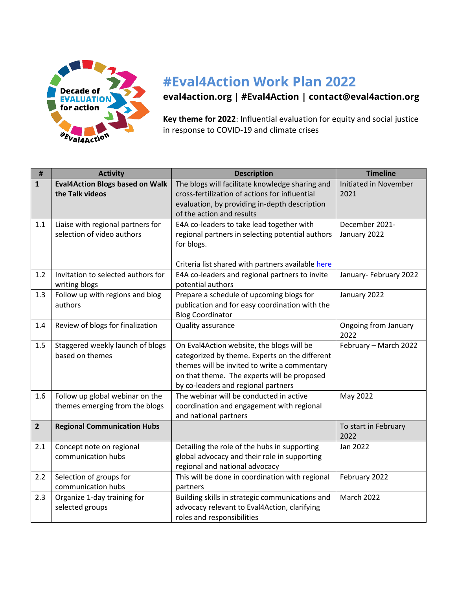

## **#Eval4Action Work Plan 2022**

**[eval4action.org](https://www.eval4action.org/) | [#Eval4Action](https://twitter.com/search?q=%23Eval4Action&src=typed_query) | [contact@eval4action.org](mailto:contact@eval4action.org)**

**Key theme for 2022**: Influential evaluation for equity and social justice in response to COVID-19 and climate crises

| $\sharp\sharp$ | <b>Activity</b>                                                 | <b>Description</b>                                | <b>Timeline</b>              |
|----------------|-----------------------------------------------------------------|---------------------------------------------------|------------------------------|
| $\mathbf{1}$   | <b>Eval4Action Blogs based on Walk</b>                          | The blogs will facilitate knowledge sharing and   | Initiated in November        |
|                | the Talk videos                                                 | cross-fertilization of actions for influential    | 2021                         |
|                |                                                                 | evaluation, by providing in-depth description     |                              |
|                |                                                                 | of the action and results                         |                              |
| 1.1            | Liaise with regional partners for<br>selection of video authors | E4A co-leaders to take lead together with         | December 2021-               |
|                |                                                                 | regional partners in selecting potential authors  | January 2022                 |
|                |                                                                 | for blogs.                                        |                              |
|                |                                                                 | Criteria list shared with partners available here |                              |
| 1.2            | Invitation to selected authors for                              | E4A co-leaders and regional partners to invite    | January-February 2022        |
|                | writing blogs                                                   | potential authors                                 |                              |
| 1.3            | Follow up with regions and blog                                 | Prepare a schedule of upcoming blogs for          | January 2022                 |
|                | authors                                                         | publication and for easy coordination with the    |                              |
|                |                                                                 | <b>Blog Coordinator</b>                           |                              |
| 1.4            | Review of blogs for finalization                                | Quality assurance                                 | Ongoing from January         |
|                |                                                                 |                                                   | 2022                         |
| 1.5            | Staggered weekly launch of blogs                                | On Eval4Action website, the blogs will be         | February - March 2022        |
|                | based on themes                                                 | categorized by theme. Experts on the different    |                              |
|                |                                                                 | themes will be invited to write a commentary      |                              |
|                |                                                                 | on that theme. The experts will be proposed       |                              |
|                |                                                                 | by co-leaders and regional partners               |                              |
| 1.6            | Follow up global webinar on the                                 | The webinar will be conducted in active           | May 2022                     |
|                | themes emerging from the blogs                                  | coordination and engagement with regional         |                              |
|                |                                                                 | and national partners                             |                              |
| $\overline{2}$ | <b>Regional Communication Hubs</b>                              |                                                   | To start in February<br>2022 |
| 2.1            | Concept note on regional                                        | Detailing the role of the hubs in supporting      | Jan 2022                     |
|                | communication hubs                                              | global advocacy and their role in supporting      |                              |
|                |                                                                 | regional and national advocacy                    |                              |
| 2.2            | Selection of groups for                                         | This will be done in coordination with regional   | February 2022                |
|                | communication hubs                                              | partners                                          |                              |
| 2.3            | Organize 1-day training for                                     | Building skills in strategic communications and   | <b>March 2022</b>            |
|                | selected groups                                                 | advocacy relevant to Eval4Action, clarifying      |                              |
|                |                                                                 | roles and responsibilities                        |                              |